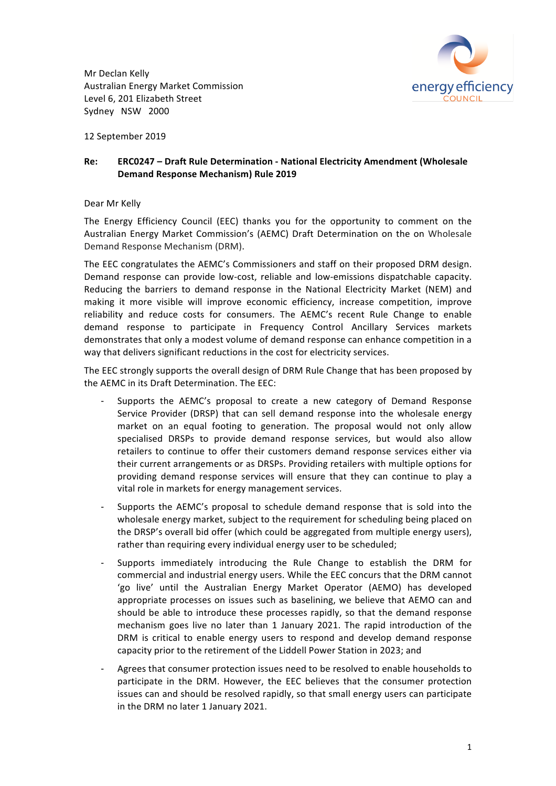Mr Declan Kelly Australian Energy Market Commission Level 6, 201 Elizabeth Street Sydney NSW 2000



12 September 2019

# **Re: ERC0247 - Draft Rule Determination - National Electricity Amendment (Wholesale Demand Response Mechanism) Rule 2019**

## Dear Mr Kelly

The Energy Efficiency Council (EEC) thanks you for the opportunity to comment on the Australian Energy Market Commission's (AEMC) Draft Determination on the on Wholesale Demand Response Mechanism (DRM).

The EEC congratulates the AEMC's Commissioners and staff on their proposed DRM design. Demand response can provide low-cost, reliable and low-emissions dispatchable capacity. Reducing the barriers to demand response in the National Electricity Market (NEM) and making it more visible will improve economic efficiency, increase competition, improve reliability and reduce costs for consumers. The AEMC's recent Rule Change to enable demand response to participate in Frequency Control Ancillary Services markets demonstrates that only a modest volume of demand response can enhance competition in a way that delivers significant reductions in the cost for electricity services.

The EEC strongly supports the overall design of DRM Rule Change that has been proposed by the AEMC in its Draft Determination. The EEC:

- Supports the AEMC's proposal to create a new category of Demand Response Service Provider (DRSP) that can sell demand response into the wholesale energy market on an equal footing to generation. The proposal would not only allow specialised DRSPs to provide demand response services, but would also allow retailers to continue to offer their customers demand response services either via their current arrangements or as DRSPs. Providing retailers with multiple options for providing demand response services will ensure that they can continue to play a vital role in markets for energy management services.
- Supports the AEMC's proposal to schedule demand response that is sold into the wholesale energy market, subject to the requirement for scheduling being placed on the DRSP's overall bid offer (which could be aggregated from multiple energy users), rather than requiring every individual energy user to be scheduled;
- Supports immediately introducing the Rule Change to establish the DRM for commercial and industrial energy users. While the EEC concurs that the DRM cannot 'go live' until the Australian Energy Market Operator (AEMO) has developed appropriate processes on issues such as baselining, we believe that AEMO can and should be able to introduce these processes rapidly, so that the demand response mechanism goes live no later than 1 January 2021. The rapid introduction of the DRM is critical to enable energy users to respond and develop demand response capacity prior to the retirement of the Liddell Power Station in 2023; and
- Agrees that consumer protection issues need to be resolved to enable households to participate in the DRM. However, the EEC believes that the consumer protection issues can and should be resolved rapidly, so that small energy users can participate in the DRM no later 1 January 2021.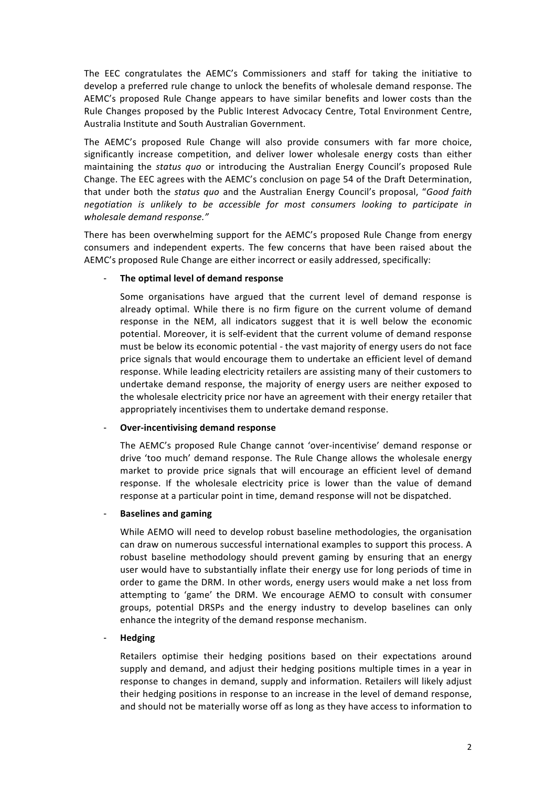The EEC congratulates the AEMC's Commissioners and staff for taking the initiative to develop a preferred rule change to unlock the benefits of wholesale demand response. The AEMC's proposed Rule Change appears to have similar benefits and lower costs than the Rule Changes proposed by the Public Interest Advocacy Centre, Total Environment Centre, Australia Institute and South Australian Government.

The AEMC's proposed Rule Change will also provide consumers with far more choice. significantly increase competition, and deliver lower wholesale energy costs than either maintaining the *status quo* or introducing the Australian Energy Council's proposed Rule Change. The EEC agrees with the AEMC's conclusion on page 54 of the Draft Determination, that under both the *status quo* and the Australian Energy Council's proposal, "*Good faith negotiation* is unlikely to be accessible for most consumers looking to participate in *wholesale demand response."*

There has been overwhelming support for the AEMC's proposed Rule Change from energy consumers and independent experts. The few concerns that have been raised about the AEMC's proposed Rule Change are either incorrect or easily addressed, specifically:

## The optimal level of demand response

Some organisations have argued that the current level of demand response is already optimal. While there is no firm figure on the current volume of demand response in the NEM, all indicators suggest that it is well below the economic potential. Moreover, it is self-evident that the current volume of demand response must be below its economic potential - the vast majority of energy users do not face price signals that would encourage them to undertake an efficient level of demand response. While leading electricity retailers are assisting many of their customers to undertake demand response, the majority of energy users are neither exposed to the wholesale electricity price nor have an agreement with their energy retailer that appropriately incentivises them to undertake demand response.

## **Over-incentivising demand response**

The AEMC's proposed Rule Change cannot 'over-incentivise' demand response or drive 'too much' demand response. The Rule Change allows the wholesale energy market to provide price signals that will encourage an efficient level of demand response. If the wholesale electricity price is lower than the value of demand response at a particular point in time, demand response will not be dispatched.

## **Baselines and gaming**

While AEMO will need to develop robust baseline methodologies, the organisation can draw on numerous successful international examples to support this process. A robust baseline methodology should prevent gaming by ensuring that an energy user would have to substantially inflate their energy use for long periods of time in order to game the DRM. In other words, energy users would make a net loss from attempting to 'game' the DRM. We encourage AEMO to consult with consumer groups, potential DRSPs and the energy industry to develop baselines can only enhance the integrity of the demand response mechanism.

## - **Hedging**

Retailers optimise their hedging positions based on their expectations around supply and demand, and adjust their hedging positions multiple times in a year in response to changes in demand, supply and information. Retailers will likely adjust their hedging positions in response to an increase in the level of demand response, and should not be materially worse off as long as they have access to information to